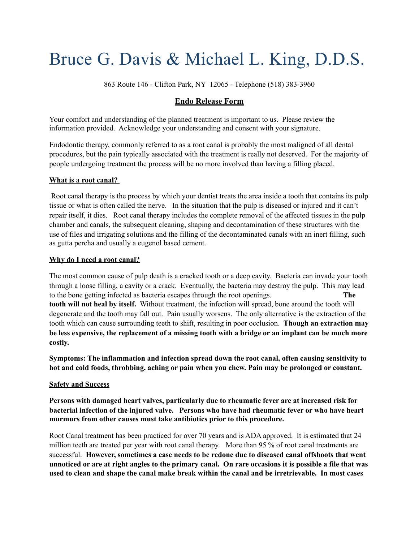# Bruce G. Davis & Michael L. King, D.D.S.

863 Route 146 - Clifton Park, NY 12065 - Telephone (518) 383-3960

# **Endo Release Form**

Your comfort and understanding of the planned treatment is important to us. Please review the information provided. Acknowledge your understanding and consent with your signature.

Endodontic therapy, commonly referred to as a root canal is probably the most maligned of all dental procedures, but the pain typically associated with the treatment is really not deserved. For the majority of people undergoing treatment the process will be no more involved than having a filling placed.

## **What is a root canal?**

Root canal therapy is the process by which your dentist treats the area inside a tooth that contains its pulp tissue or what is often called the nerve. In the situation that the pulp is diseased or injured and it can't repair itself, it dies. Root canal therapy includes the complete removal of the affected tissues in the pulp chamber and canals, the subsequent cleaning, shaping and decontamination of these structures with the use of files and irrigating solutions and the filling of the decontaminated canals with an inert filling, such as gutta percha and usually a eugenol based cement.

#### **Why do I need a root canal?**

The most common cause of pulp death is a cracked tooth or a deep cavity. Bacteria can invade your tooth through a loose filling, a cavity or a crack. Eventually, the bacteria may destroy the pulp. This may lead to the bone getting infected as bacteria escapes through the root openings. **The tooth will not heal by itself.** Without treatment, the infection will spread, bone around the tooth will degenerate and the tooth may fall out. Pain usually worsens. The only alternative is the extraction of the tooth which can cause surrounding teeth to shift, resulting in poor occlusion. **Though an extraction may be less expensive, the replacement of a missing tooth with a bridge or an implant can be much more costly.**

**Symptoms: The inflammation and infection spread down the root canal, often causing sensitivity to hot and cold foods, throbbing, aching or pain when you chew. Pain may be prolonged or constant.**

## **Safety and Success**

**Persons with damaged heart valves, particularly due to rheumatic fever are at increased risk for bacterial infection of the injured valve. Persons who have had rheumatic fever or who have heart murmurs from other causes must take antibiotics prior to this procedure.**

Root Canal treatment has been practiced for over 70 years and is ADA approved. It is estimated that 24 million teeth are treated per year with root canal therapy. More than 95 % of root canal treatments are successful. **However, sometimes a case needs to be redone due to diseased canal offshoots that went unnoticed or are at right angles to the primary canal. On rare occasions it is possible a file that was used to clean and shape the canal make break within the canal and be irretrievable. In most cases**